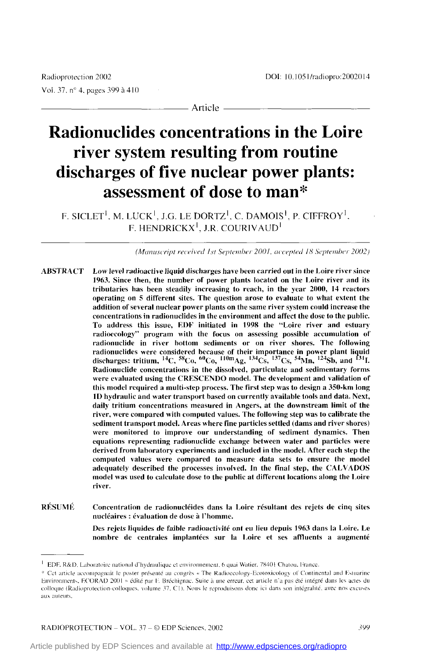- Article -

# Radionuclides concentrations in the Loire river system resulting from routine discharges of five nuclear power plants: assessment of dose to man\*

F. SICLET<sup>1</sup>, M. LUCK<sup>1</sup>, J.G. LE DORTZ<sup>1</sup>, C. DAMOIS<sup>1</sup>, P. CIFFROY<sup>1</sup>. F. HENDRICKX<sup>1</sup>, J.R. COURIVAUD<sup>1</sup>

(Manuscript received 1st September 2001, accepted 18 September 2002)

- **ABSTRACT** Low level radioactive liquid discharges have been carried out in the Loire river since 1963. Since then, the number of power plants located on the Loire river and its tributaries has been steadily increasing to reach, in the year 2000, 14 reactors operating on 5 different sites. The question arose to evaluate to what extent the addition of several nuclear power plants on the same river system could increase the concentrations in radionuclides in the environment and affect the dose to the public. To address this issue, EDF initiated in 1998 the "Loire river and estuary radioecology" program with the focus on assessing possible accumulation of radionuclide in river bottom sediments or on river shores. The following radionuclides were considered because of their importance in power plant liquid<br>discharges: tritium,  ${}^{14}C$ ,  ${}^{58}Co$ ,  ${}^{60}Co$ ,  ${}^{110m}Ag$ ,  ${}^{134}Cs$ ,  ${}^{137}Cs$ ,  ${}^{54}Mn$ ,  ${}^{124}Sb$ , and  ${}^{131}I$ . Radionuclide concentrations in the dissolved, particulate and sedimentary forms were evaluated using the CRESCENDO model. The development and validation of this model required a multi-step process. The first step was to design a 350-km long 1D hydraulic and water transport based on currently available tools and data. Next, daily tritium concentrations measured in Angers, at the downstream limit of the river, were compared with computed values. The following step was to calibrate the sediment transport model. Areas where fine particles settled (dams and river shores) were monitored to improve our understanding of sediment dynamics. Then equations representing radionuclide exchange between water and particles were derived from laboratory experiments and included in the model. After each step the computed values were compared to measure data sets to ensure the model adequately described the processes involved. In the final step, the CALVADOS model was used to calculate dose to the public at different locations along the Loire river.
- RÉSUMÉ Concentration de radionucléides dans la Loire résultant des rejets de cinq sites nucléaires : évaluation de dose à l'homme.

Des rejets liquides de faible radioactivité ont eu lieu depuis 1963 dans la Loire. Le nombre de centrales implantées sur la Loire et ses affluents a augmenté

<sup>&</sup>lt;sup>1</sup> EDF, R&D, Laboratoire national d'hydraulique et environnement, 6 quai Watier, 78401 Chatou, France.

<sup>\*</sup> Cet article accompagnait le poster présenté au congrès « The Radioecology-Ecotoxicology of Continental and Estuarine Environments, ECORAD 2001 » édité par F. Bréchignac. Suite à une erreur, cet article n'a pas été intégré dans les actes du colloque (Radioprotection-colloques, volume 37, C1). Nous le reproduisons donc ici dans son intégralité, avec nos excuses aux auteurs,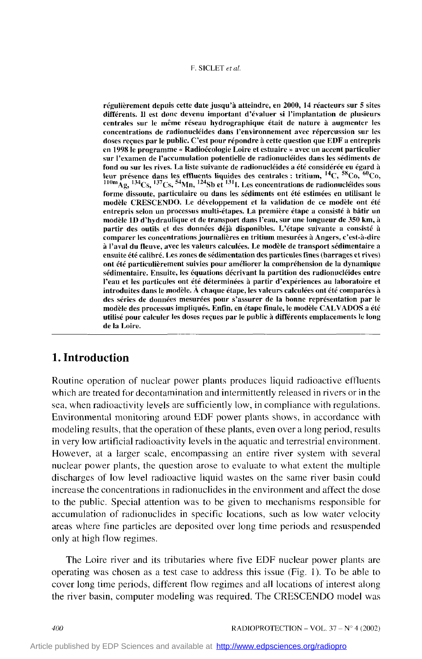#### F. SICLET et al.

régulièrement depuis cette date jusqu'a atteindre, en 2000, 14 réacteurs sur *5* sites différents. **11** est donc devenu important d'évaluer si l'implantation de plusieurs centrales sur le même réseau hydrographique était de nature à augmenter les concentrations de radionucléides dans l'environnement avec répercussion sur **Ics**  doses reçues par le public. C'est pour répondre a cette question que EDF a entrepris en 1998 le programme << Radioécologie Loire et estuaire **n** avec un accent particulier sur l'examen de l'accumulation potentielle de radinnucléides dans les sédiments de fond **ou** sur les rives. La liste suivante de radionucléides a été considérée eu égard a rond ou sur les rives. La liste suivante de radionucléides à été considérée en égard à<br>leur présence dans les effluents liquides des centrales : tritium, <sup>14</sup>C, <sup>58</sup>Co, <sup>60</sup>Co,<br><sup>110m</sup>Ag, <sup>134</sup>Cs, <sup>137</sup>Cs, <sup>54</sup>Mn, <sup>124</sup>Sb e forme dissoute, particulaire ou dans les sédiments ont été estimées en utilisant le modèle CRESCENDO. Le développement et la validation de ce modèle ont été entrepris selon un processus multi-étapes. La premiére étape a consisté a bâtir un modèle 1D d'hydraulique et de transport dans l'eau, sur une longueur de **350** km, **a**  partir des outils et des données déjà disponibles. L'étape suivante a consisté **a**  comparer les concentrations journalières en tritium mesurées a Angers, c'est-à-dire à l'aval du fleuve, avec les valeurs calculées. Le modèle de transport sédimentaire a ensuite été calihré. Les zones de sédimentation des particules fines (barrages et rives) ont été particulièrement suivies pour améliorer la compréhension de la dynamique sédimentaire. Ensuite, les équations décrivant la partition des radionucléides entre l'eau et les particules ont **été** déterminées à partir d'expériences au laboratoire et introduites dans le modèle. A chaque étape, les valeurs calculées ont été comparées à des séries de données mesurées pour s'assurer de la bonne représentation par le modèle des processus impliqués. Enfin, en étape finale, le modèle CALVADOS a été utilisé pour calculer les doses reçues par le public à différents emplacements le long de la Loire.

### **1. Introduction**

Routine operation of nuclear power plants produces liquid radioactive effluents which are treated for decontamination and intermittently released in rivers or in the sea, when radioactivity levels are sufficiently low, in compliance with regulations. Environmental monitoring around EDF power plants shows, in accordance with modeling results, that the operation of these plants. even over a long period, results in very low artificial radioactivity levels in the aquatic and terrestrial environment. However, at a larger scale, encompassing an entire river system with several nuclear power plants, the question arose to evaluate to what extent the multiple discharges of low level radioactive liquid wastes on the same river basin could increase the concentrations in radionuclides in the environment and affect the dose to the public. Special attention was to be given to mechanisms responsible for accumulation of radionuclides in specific locations, such as low water velocity areas where fine particles are deposited over long time periods and resuspended only at high flow regimes.

The Loire river and its tributaries where five EDF nuclear power plants are operating was chosen as a test case to address this issue (Fig. 1). To be able to cover long time periods, different flow regimes and ail locations of interest along the river basin, computer modeling was required. The CRESCENDO mode1 was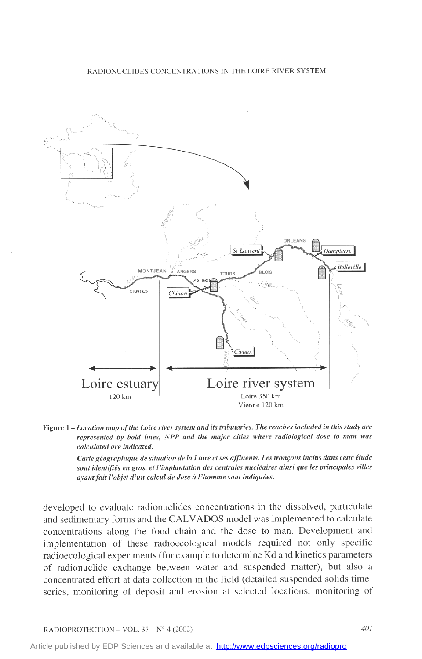#### RADIONUCLIDES CONCENTRATIONS IN THE LOIRE RIVER SYSTEM



Figure 1 – Location map of the Loire river system and its tributaries. The reaches included in this study are represented by bold lines, NPP and the major cities where radiological dose to man was calculated are indicated.

Carte géographique de situation de la Loire et ses affluents. Les tronçons inclus dans cette étude sont identifiés en gras, et l'implantation des centrales nucléaires ainsi que les principales villes ayant fait l'objet d'un calcul de dose à l'homme sont indiquées.

developed to evaluate radionuclides concentrations in the dissolved, particulate and sedimentary forms and the CALVADOS model was implemented to calculate concentrations along the food chain and the dose to man. Development and implementation of these radioecological models required not only specific radioecological experiments (for example to determine Kd and kinetics parameters of radionuclide exchange between water and suspended matter), but also a concentrated effort at data collection in the field (detailed suspended solids timeseries, monitoring of deposit and erosion at selected locations, monitoring of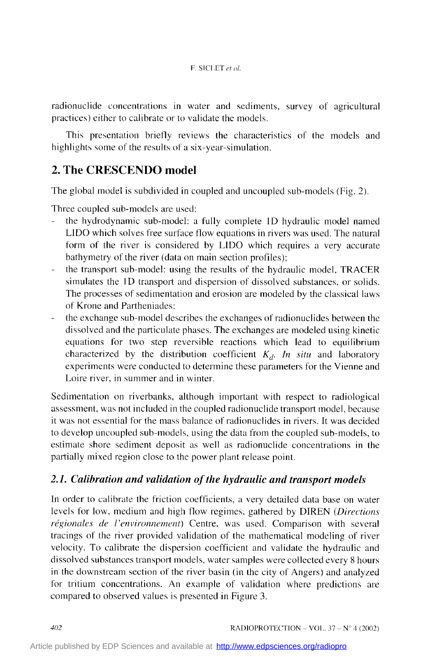radionuclide concentrations in water and sediments, survey of agricultural practices) either to calibrate or to validate the models.

This presentation brietly reviews the characteristics of the models and highlights some of the results of a six-year-simulation.

# **2. The CRESCENDO model**

The global model is subdivided in coupled and uncoupled sub-models (Fig. 2).

Three coupled sub-models are used:

- the hydrodynamic sub-model: a fully complete 1D hydraulic model named LIDO which solves free surface flow equations in rivers was used. The natural form of the river is considered by LIDO which requires a very accurate bathymetry of the river (data on main section profiles);
- the transport sub-model: using the results of the hydraulic model, TRACER simulates the ID transport and dispersion of dissolved substances, or solids. The processes of sedimentation and erosion are modeled by the classical laws of Krone and Partheniades; -
- the exchange sub-mode1 describes the exchanges of radionuclides between the dissolved and the particulate phases. The exchanges are modeled using kinetic equations for two step reversible reactions which lead to equilibrium characterized by the distribution coefficient  $K_d$ . *In situ* and laboratory experiments were conducted to determine these parameters for the Vienne and Loire river, in summer and in winter. -

Sedimentation on riverbanks, although important with respect to radiological assessment, was not included in the coupled radionuclide transport model, because it was not essential for the mass balance of radionuclides in rivers. It was decided to develop uncoupled sub-models, using the data from the coupled sub-models, to estimate shore sediment deposit *as* well as radionuclide concentrations in the partially mixed region close to the power plant release point.

### *2.1. Calibration and validation of the hydraulic and transport models*

In order to calibrate the friction coefficients, a very detailed data base on water levels for low, medium and high flow regimes, gathered by DIREN *(Directions régionales de l'environnement*) Centre, was used. Comparison with several tracings of the river provided validation of the inathematical modeling of river velocity. To calibrate the dispersion coefficient and validate the hydraulic and dissolved substances transport models, water samples were collected every 8 hours in the downstream section of the river basin (in the city of Angers) and analyzed for tritium concentrations. An example of validation where predictions are compared to observed values is presented in Figure 3.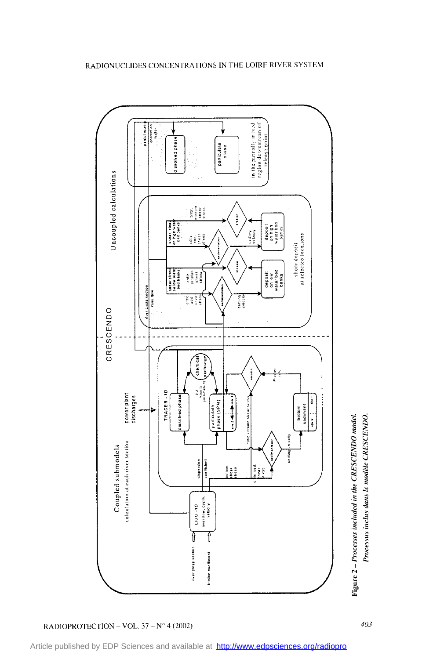

Processus inclus dans le modèle CRESCENDO.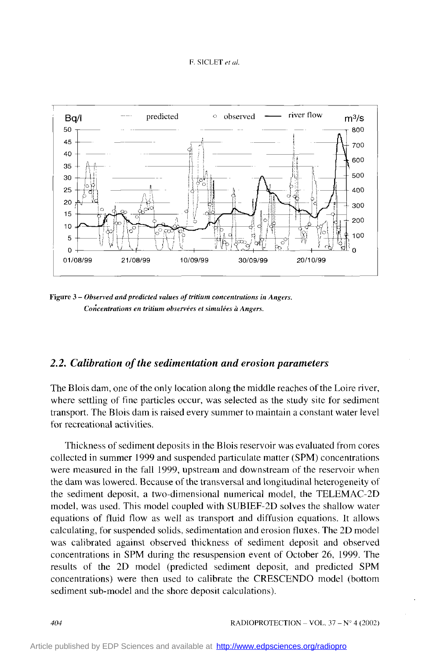

**Figure** *3* - *Observed andpredicted values of tritium concentrations in Angers. Concentrations en tritium observées et simulées à Angers.* 

#### *2.2. Calibration of the sedimentation and erosion parameters*

The Blois dam, one of the only location along the middle reaches of the Loire river, where settling of fine particles occur, was selected as the study site for sediment transport. The Blois dam is raised every summer to maintain a constant water level for recreational activities.

Thickness of sediment deposits in the Blois reservoir was evaluated from cores collected in summer 1999 and suspended particulate matter (SPM) concentrations were measured in the fa11 1999, upstream and downstream of the reservoir when the dam was lowered. Because of the transversal and longitudinal heterogeneity of the sediment deposit, a two-dimensional numencal model, the TELEMAC-2D model, was used. This model coupled with SUBIEF-2D solves the shallow water equations of fluid flow as well as transport and diffusion equations. It allows calculating, for suspended solids. sedimentation and erosion fluxes. The 2D model was calibrated against observed thickness of sediment deposit and observed concentrations in SPM during the resuspension event of October 26, 1999. The results of the 2D model (predicted sediment deposit, and predicted SPM concentrations) were then used to calibrate the CRESCENDO model (bottom sediment sub-mode1 and the shore deposit calculations).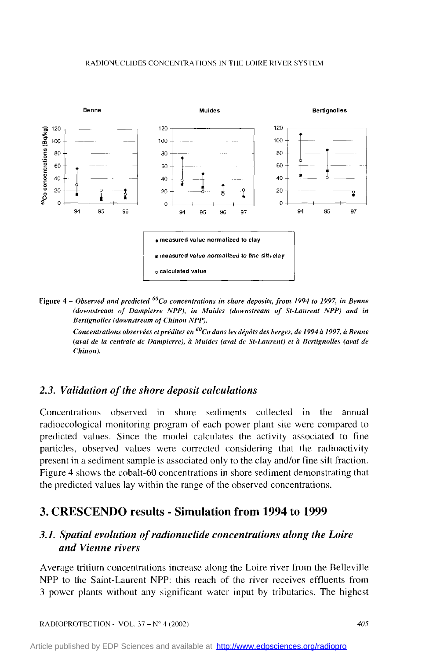

Figure  $4$  – Observed and predicted  $^{60}Co$  concentrations in shore deposits, from 1994 to 1997, in Benne (downstream of Dampierre NPP), in Muides (downstream of St-Laurent NPP) and in Bertignolles (downstream of Chinon NPP). Concentrations observées et prédites en <sup>60</sup>Co dans les dépôts des berges, de 1994 à 1997, à Benne (aval de la centrale de Dampierre), à Muides (aval de St-Laurent) et à Bertignolles (aval de

### 2.3. Validation of the shore deposit calculations

Chinon).

Concentrations observed in shore sediments collected in the annual radioecological monitoring program of each power plant site were compared to predicted values. Since the model calculates the activity associated to fine particles, observed values were corrected considering that the radioactivity present in a sediment sample is associated only to the clay and/or fine silt fraction. Figure 4 shows the cobalt-60 concentrations in shore sediment demonstrating that the predicted values lay within the range of the observed concentrations.

## 3. CRESCENDO results - Simulation from 1994 to 1999

### 3.1. Spatial evolution of radionuclide concentrations along the Loire and Vienne rivers

Average tritium concentrations increase along the Loire river from the Belleville NPP to the Saint-Laurent NPP: this reach of the river receives effluents from 3 power plants without any significant water input by tributaries. The highest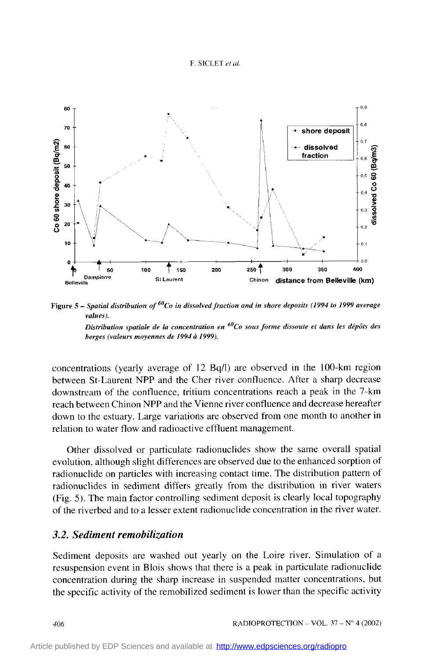

**Figure** *5* - *Spatial distribution of 6oCo in dissolved fraction and in shore deposits (1994 to 1999 average values). Distribuîion spatiale de la concentration en 6oCo sous fonne dissoute et dans les dépôts des berges (valeurs moyennes de 1994 a 1999).* 

concentrations (yearly average of 12 Bq/l) are observed in the 100-km region between St-Laurent NPP and the Cher river confluence. After a sharp decrease downstream of the contluence, tritium concentrations reach a peak in the 7-km reach between Chinon NPP and the Vienne river confluence and decrease hereafter down to the estuary. Large variations are.observed from one month to another in relation to water flow and radioactive effluent management.

Other dissolved or particulate radionuclides show the same overall spatial evolution, although slight differences are observed due to the enhanced sorption of radionuclide on particles with increasing contact time. The distribution pattern of radionuclides in sediment differs greatly from the distribution in river waters (Fig. *5).* The main factor controlling sediment deposit is clearly local topoçraphy of the riverbed and to a lesser extent radionuclide concentration in the river water.

#### *3.2. Sediment remobilization*

Sediment deposits are washed out yearly on the Loire river. Simulation of a resuspension event in Blois shows that there is a peak in particulate radionuclide concentration during the sharp increase in suspended matter concentrations, but the specific activity of the remobilized sediment is lower than the specific activity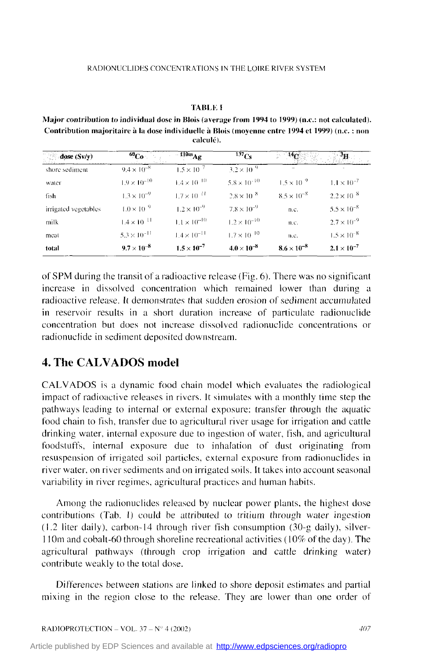#### RADIONUCLIDES CONCENTRATIONS IN THE LOIRE RIVER SYSTEM

#### **TABLE I**

Major contribution to individual dose in Blois (average from 1994 to 1999) (n.c.: not calculated). Contribution majoritaire à la dose individuelle à Blois (moyenne entre 1994 et 1999) (n.c. : non calculé).

| dose $(Sv/y)$        | $^{60}Co$             | $\overline{110}$ m $Ag$ | $\overline{^{137}Cs}$ |                      |                      |
|----------------------|-----------------------|-------------------------|-----------------------|----------------------|----------------------|
| shore sediment       | $9.4 \times 10^{-8}$  | $1.5 \times 10^{-7}$    | $3.2 \times 10^{-9}$  |                      |                      |
| water                | $1.9 \times 10^{-10}$ | $1.4 \times 10^{-10}$   | $5.8 \times 10^{-10}$ | $1.5 \times 10^{-9}$ | $1.1 \times 10^{-7}$ |
| fish                 | $1.3 \times 10^{-9}$  | $1.7 \times 10^{-11}$   | $2.8 \times 10^{-8}$  | $8.5 \times 10^{-8}$ | $2.2 \times 10^{-8}$ |
| irrigated vegetables | $1.0 \times 10^{-9}$  | $1.2 \times 10^{-9}$    | $7.8 \times 10^{-9}$  | n.c.                 | $5.5 \times 10^{-8}$ |
| milk                 | $1.4 \times 10^{-11}$ | $1.1 \times 10^{-10}$   | $1.2 \times 10^{-10}$ | n.c.                 | $2.7 \times 10^{-9}$ |
| meat                 | $5.3 \times 10^{-11}$ | $1.4 \times 10^{-11}$   | $1.7 \times 10^{-10}$ | n.c.                 | $1.5 \times 10^{-8}$ |
| total                | $9.7 \times 10^{-8}$  | $1.5 \times 10^{-7}$    | $4.0 \times 10^{-8}$  | $8.6 \times 10^{-8}$ | $2.1 \times 10^{-7}$ |

of SPM during the transit of a radioactive release (Fig. 6). There was no significant increase in dissolved concentration which remained lower than during a radioactive release. It demonstrates that sudden erosion of sediment accumulated in reservoir results in a short duration increase of particulate radionuclide concentration but does not increase dissolved radionuclide concentrations or radionuclide in sediment deposited downstream.

### 4. The CALVADOS model

CALVADOS is a dynamic food chain model which evaluates the radiological impact of radioactive releases in rivers. It simulates with a monthly time step the pathways leading to internal or external exposure: transfer through the aquatic food chain to fish, transfer due to agricultural river usage for irrigation and cattle drinking water, internal exposure due to ingestion of water, fish, and agricultural foodstuffs, internal exposure due to inhalation of dust originating from resuspension of irrigated soil particles, external exposure from radionuclides in river water, on river sediments and on irrigated soils. It takes into account seasonal variability in river regimes, agricultural practices and human habits.

Among the radionuclides released by nuclear power plants, the highest dose contributions (Tab. I) could be attributed to tritium through water ingestion (1.2 liter daily), carbon-14 through river fish consumption (30-g daily), silver-110m and cobalt-60 through shoreline recreational activities (10% of the day). The agricultural pathways (through crop irrigation and cattle drinking water) contribute weakly to the total dose.

Differences between stations are linked to shore deposit estimates and partial mixing in the region close to the release. They are lower than one order of

Article published by EDP Sciences and available at http://www.edpsciences.org/radiopro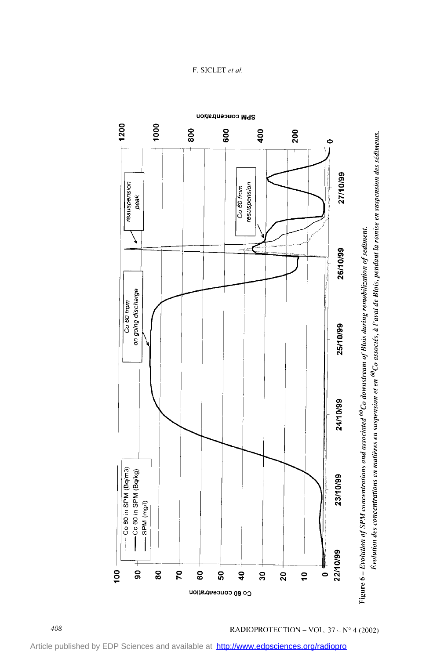

Évolution des concentrations en matières en suspension et en <sup>60</sup>Co associés, à l'aval de Blois, pendant la remise en suspension des sédiments.

Article published by EDP Sciences and available at http://www.edpsciences.org/radiopro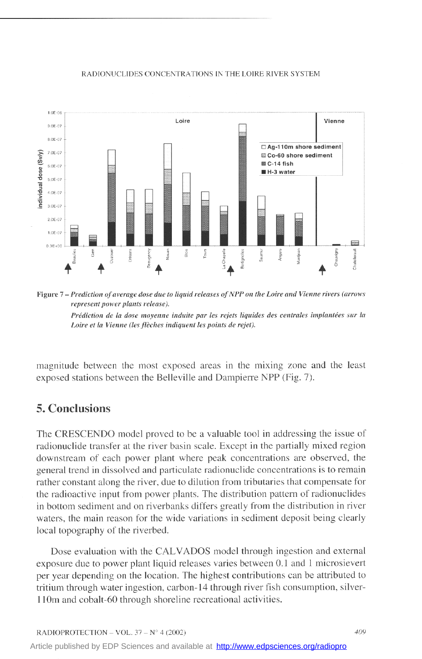#### RADIONUCLIDES CONCENTRATIONS **Ih** THE LOIRE RIVER SYSTEM



**Figure** *7* - *Prediction ofaverage dose due 10 Iiquid releases qf hPP on ltie Loire and Vienne rivers (arruws represeaf power plants release).* 

*Prédiciion de la dose moyenne iuduile par les rejetv liquides des centrales implantées sur la Loire et la Vienne (lesflèches indiquent les poinls de rejet).* 

magnitude between the most exposed areas in the mixing zone and the least exposed stations between the Belleville and Dampierre NPP (Fig. 7).

### **5. Conclusions**

The CRESCENDO model proved to be a valuable tool in addressing the issue of radionuclide transfer at the river basin scale. Except in the partially mixed region downstream of each power plant where peak concentrations are observed, the general trend in dissolved and particulate radionuclide concentrations is Io remain rather constant along the river, due to dilution from tributaries that compensate for the radioactive input from power plants. The distribution pattern of radionuclides in bottom sediment and on riverbanks differs greatly from the distribution in river waters, the main reason for the wide variations in sediment deposit being clearly local topography of the riverbed.

Dose evaluation with the CALVADOS model through ingestion and external exposure due to power plant liquid releases varies between 0.1 and 1 microsievert per year depending on the location. The highest contributions can be attributed to tritium through water ingestion, carbon-14 through river fish consumption, silver-110m and cobalt-60 through shoreline recreational activities.